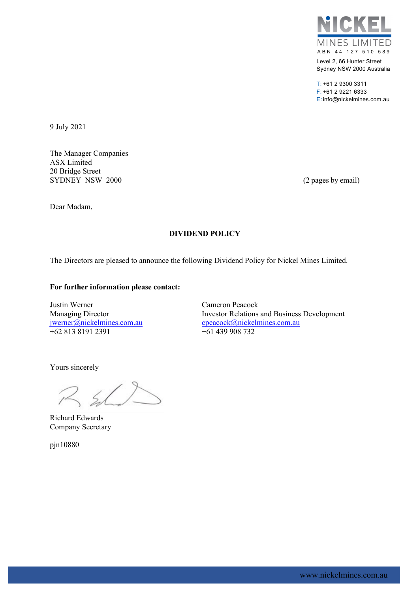

Level 2, 66 Hunter Street Sydney NSW 2000 Australia

T: +61 2 9300 3311 F: +61 2 9221 6333 E: info@nickelmines.com.au

9 July 2021

The Manager Companies ASX Limited 20 Bridge Street SYDNEY NSW 2000 (2 pages by email)

Dear Madam,

## **DIVIDEND POLICY**

The Directors are pleased to announce the following Dividend Policy for Nickel Mines Limited.

## **For further information please contact:**

Justin Werner Cameron Peacock  $+6281381912391$   $+61439908732$ 

Managing Director **Investor Relations and Business Development** [jwerner@nickelmines.com.au](mailto:jwerner@nickelmines.com.au) [cpeacock@nickelmines.com.au](mailto:cpeacock@nickelmines.com.au)

Yours sincerely

 $R$  shift

Richard Edwards Company Secretary

pjn10880